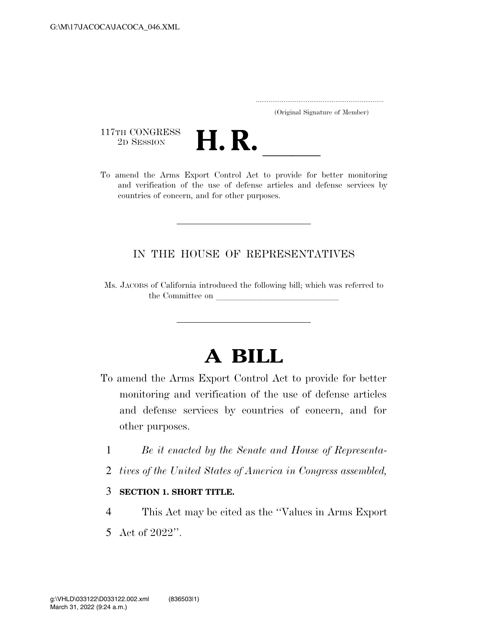..................................................................... (Original Signature of Member)

117TH CONGRESS<br>2D SESSION



117TH CONGRESS<br>
2D SESSION<br>
To amend the Arms Export Control Act to provide for better monitoring and verification of the use of defense articles and defense services by countries of concern, and for other purposes.

### IN THE HOUSE OF REPRESENTATIVES

Ms. JACOBS of California introduced the following bill; which was referred to the Committee on

# **A BILL**

- To amend the Arms Export Control Act to provide for better monitoring and verification of the use of defense articles and defense services by countries of concern, and for other purposes.
	- 1 *Be it enacted by the Senate and House of Representa-*
	- 2 *tives of the United States of America in Congress assembled,*
	- 3 **SECTION 1. SHORT TITLE.**
	- 4 This Act may be cited as the ''Values in Arms Export
	- 5 Act of 2022''.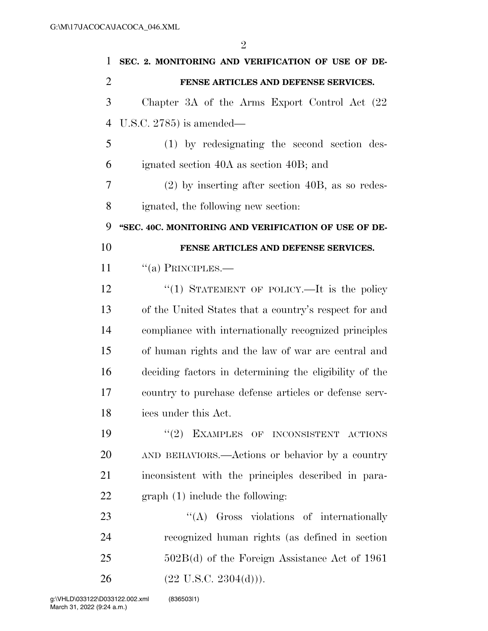| $\mathbf{1}$   | SEC. 2. MONITORING AND VERIFICATION OF USE OF DE-      |
|----------------|--------------------------------------------------------|
| $\overline{2}$ | FENSE ARTICLES AND DEFENSE SERVICES.                   |
| 3              | Chapter 3A of the Arms Export Control Act (22)         |
| $\overline{4}$ | U.S.C. 2785) is amended—                               |
| 5              | (1) by redesignating the second section des-           |
| 6              | ignated section 40A as section 40B; and                |
| 7              | $(2)$ by inserting after section 40B, as so redes-     |
| 8              | ignated, the following new section:                    |
| 9              | "SEC. 40C. MONITORING AND VERIFICATION OF USE OF DE-   |
| 10             | FENSE ARTICLES AND DEFENSE SERVICES.                   |
| 11             | $``(a)$ PRINCIPLES.—                                   |
| 12             | "(1) STATEMENT OF POLICY.—It is the policy             |
| 13             | of the United States that a country's respect for and  |
| 14             | compliance with internationally recognized principles  |
| 15             | of human rights and the law of war are central and     |
| 16             | deciding factors in determining the eligibility of the |
| 17             | country to purchase defense articles or defense serv-  |
| 18             | ices under this Act.                                   |
| 19             | "(2) EXAMPLES OF INCONSISTENT ACTIONS                  |
| 20             | AND BEHAVIORS.—Actions or behavior by a country        |
| 21             | inconsistent with the principles described in para-    |
| 22             | $graph(1)$ include the following:                      |
| 23             | "(A) Gross violations of internationally               |
| 24             | recognized human rights (as defined in section         |
| 25             | $502B(d)$ of the Foreign Assistance Act of 1961        |
| 26             | $(22 \text{ U.S.C. } 2304(d))).$                       |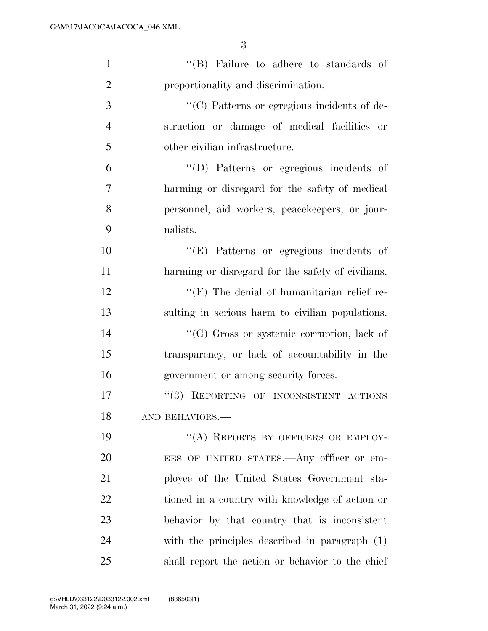| $\mathbf{1}$   | "(B) Failure to adhere to standards of             |
|----------------|----------------------------------------------------|
| $\overline{2}$ | proportionality and discrimination.                |
| 3              | "(C) Patterns or egregious incidents of de-        |
| $\overline{4}$ | struction or damage of medical facilities or       |
| 5              | other civilian infrastructure.                     |
| 6              | "(D) Patterns or egregious incidents of            |
| 7              | harming or disregard for the safety of medical     |
| 8              | personnel, aid workers, peacekeepers, or jour-     |
| 9              | nalists.                                           |
| 10             | "(E) Patterns or egregious incidents of            |
| 11             | harming or disregard for the safety of civilians.  |
| 12             | $\lq\lq (F)$ The denial of humanitarian relief re- |
| 13             | sulting in serious harm to civilian populations.   |
| 14             | "(G) Gross or systemic corruption, lack of         |
| 15             | transparency, or lack of accountability in the     |
| 16             | government or among security forces.               |
| 17             | "(3) REPORTING OF INCONSISTENT ACTIONS             |
| 18             | AND BEHAVIORS.-                                    |
| 19             | "(A) REPORTS BY OFFICERS OR EMPLOY-                |
| 20             | EES OF UNITED STATES.—Any officer or em-           |
| 21             | ployee of the United States Government sta-        |
| 22             | tioned in a country with knowledge of action or    |
| 23             | behavior by that country that is inconsistent      |
| 24             | with the principles described in paragraph (1)     |
| 25             | shall report the action or behavior to the chief   |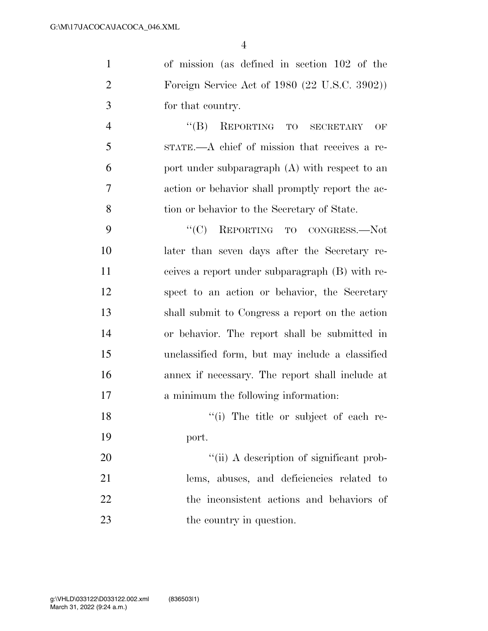of mission (as defined in section 102 of the Foreign Service Act of 1980 (22 U.S.C. 3902)) for that country.

 ''(B) REPORTING TO SECRETARY OF STATE.—A chief of mission that receives a re- port under subparagraph (A) with respect to an action or behavior shall promptly report the ac-tion or behavior to the Secretary of State.

9 "'(C) REPORTING TO CONGRESS.—Not later than seven days after the Secretary re- ceives a report under subparagraph (B) with re- spect to an action or behavior, the Secretary shall submit to Congress a report on the action or behavior. The report shall be submitted in unclassified form, but may include a classified annex if necessary. The report shall include at a minimum the following information:

18 ''(i) The title or subject of each re-port.

 $\frac{1}{11}$  A description of significant prob- lems, abuses, and deficiencies related to the inconsistent actions and behaviors of 23 the country in question.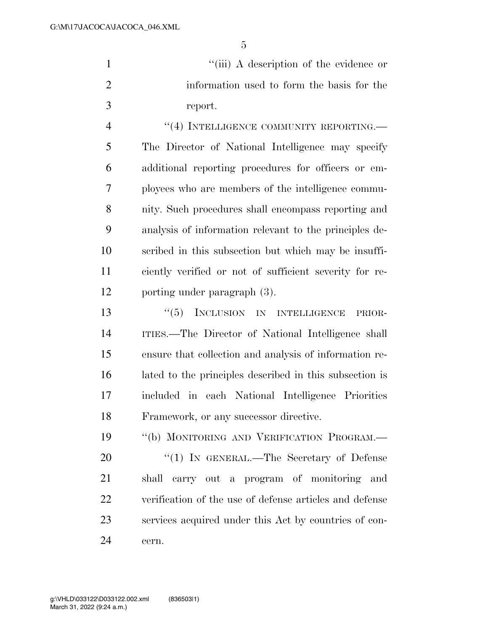| "(iii) A description of the evidence or    |
|--------------------------------------------|
| information used to form the basis for the |
| report.                                    |

4 "(4) INTELLIGENCE COMMUNITY REPORTING. The Director of National Intelligence may specify additional reporting procedures for officers or em- ployees who are members of the intelligence commu- nity. Such procedures shall encompass reporting and analysis of information relevant to the principles de- scribed in this subsection but which may be insuffi- ciently verified or not of sufficient severity for re-porting under paragraph (3).

13 "(5) INCLUSION IN INTELLIGENCE PRIOR- ITIES.—The Director of National Intelligence shall ensure that collection and analysis of information re- lated to the principles described in this subsection is included in each National Intelligence Priorities Framework, or any successor directive.

 ''(b) MONITORING AND VERIFICATION PROGRAM.— 20 "(1) IN GENERAL.—The Secretary of Defense shall carry out a program of monitoring and verification of the use of defense articles and defense services acquired under this Act by countries of con-cern.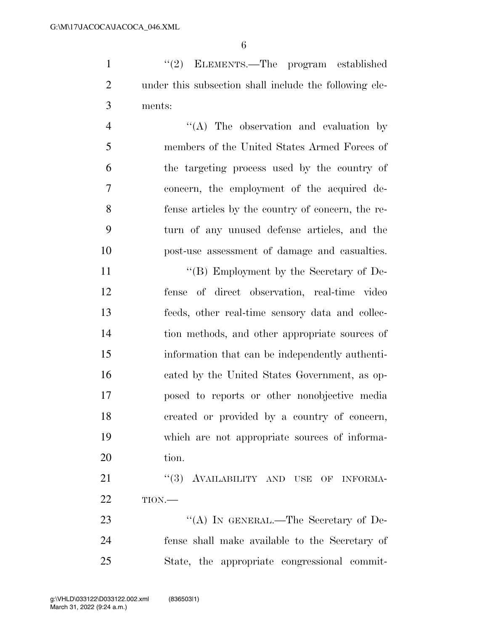''(2) ELEMENTS.—The program established under this subsection shall include the following ele-ments:

 ''(A) The observation and evaluation by members of the United States Armed Forces of the targeting process used by the country of concern, the employment of the acquired de- fense articles by the country of concern, the re- turn of any unused defense articles, and the post-use assessment of damage and casualties.

11 ""(B) Employment by the Secretary of De- fense of direct observation, real-time video feeds, other real-time sensory data and collec- tion methods, and other appropriate sources of information that can be independently authenti- cated by the United States Government, as op- posed to reports or other nonobjective media created or provided by a country of concern, which are not appropriate sources of informa-20 tion.

21 "(3) AVAILABILITY AND USE OF INFORMA-TION.—

23 "(A) IN GENERAL.—The Secretary of De- fense shall make available to the Secretary of State, the appropriate congressional commit-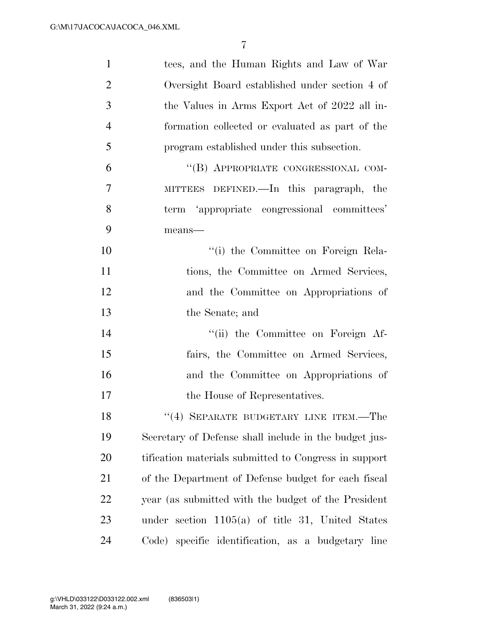| $\mathbf{1}$   | tees, and the Human Rights and Law of War             |
|----------------|-------------------------------------------------------|
| $\overline{2}$ | Oversight Board established under section 4 of        |
| 3              | the Values in Arms Export Act of 2022 all in-         |
| $\overline{4}$ | formation collected or evaluated as part of the       |
| 5              | program established under this subsection.            |
| 6              | "(B) APPROPRIATE CONGRESSIONAL COM-                   |
| 7              | MITTEES DEFINED.—In this paragraph, the               |
| 8              | term 'appropriate congressional committees'           |
| 9              | means-                                                |
| 10             | "(i) the Committee on Foreign Rela-                   |
| 11             | tions, the Committee on Armed Services,               |
| 12             | and the Committee on Appropriations of                |
| 13             | the Senate; and                                       |
| 14             | "(ii) the Committee on Foreign Af-                    |
| 15             | fairs, the Committee on Armed Services,               |
| 16             | and the Committee on Appropriations of                |
| 17             | the House of Representatives.                         |
| 18             | "(4) SEPARATE BUDGETARY LINE ITEM.-The                |
| 19             | Secretary of Defense shall include in the budget jus- |
| 20             | tification materials submitted to Congress in support |
| 21             | of the Department of Defense budget for each fiscal   |
| 22             | year (as submitted with the budget of the President   |
| 23             | under section $1105(a)$ of title 31, United States    |
| 24             | specific identification, as a budgetary line<br>Code) |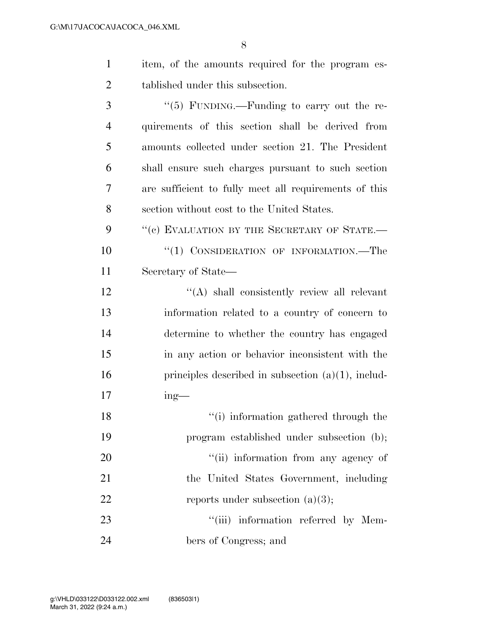| $\mathbf{1}$   | item, of the amounts required for the program es-     |
|----------------|-------------------------------------------------------|
| $\overline{2}$ | tablished under this subsection.                      |
| 3              | "(5) FUNDING.—Funding to carry out the re-            |
| $\overline{4}$ | quirements of this section shall be derived from      |
| 5              | amounts collected under section 21. The President     |
| 6              | shall ensure such charges pursuant to such section    |
| 7              | are sufficient to fully meet all requirements of this |
| 8              | section without cost to the United States.            |
| 9              | "(c) EVALUATION BY THE SECRETARY OF STATE.-           |
| 10             | "(1) CONSIDERATION OF INFORMATION.—The                |
| 11             | Secretary of State—                                   |
| 12             | "(A) shall consistently review all relevant           |
| 13             | information related to a country of concern to        |
| 14             | determine to whether the country has engaged          |
| 15             | in any action or behavior inconsistent with the       |
| 16             | principles described in subsection $(a)(1)$ , includ- |
| 17             | $ing$ —                                               |
| 18             | "(i) information gathered through the                 |
| 19             | program established under subsection (b);             |
| 20             | "(ii) information from any agency of                  |
| 21             | the United States Government, including               |
| 22             | reports under subsection $(a)(3)$ ;                   |
| 23             | "(iii) information referred by Mem-                   |
| 24             | bers of Congress; and                                 |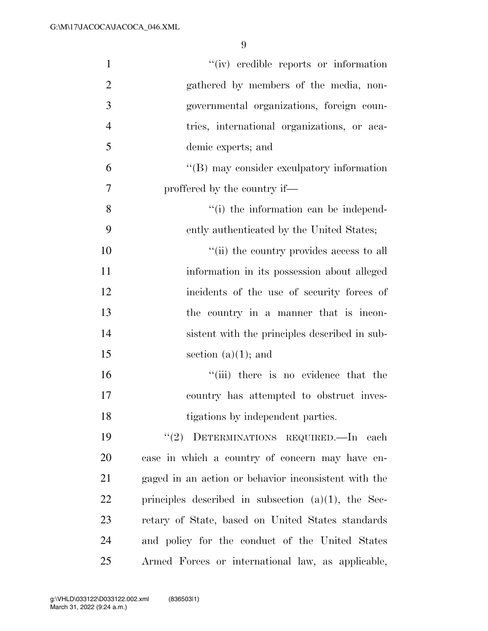| $\mathbf{1}$   | "(iv) credible reports or information                  |
|----------------|--------------------------------------------------------|
| $\overline{2}$ | gathered by members of the media, non-                 |
| 3              | governmental organizations, foreign coun-              |
| $\overline{4}$ | tries, international organizations, or aca-            |
| 5              | demic experts; and                                     |
| 6              | $\lq\lq (B)$ may consider exculpatory information      |
| 7              | proffered by the country if—                           |
| 8              | "(i) the information can be independ-                  |
| 9              | ently authenticated by the United States;              |
| 10             | "(ii) the country provides access to all               |
| 11             | information in its possession about alleged            |
| 12             | incidents of the use of security forces of             |
| 13             | the country in a manner that is incon-                 |
| 14             | sistent with the principles described in sub-          |
| 15             | section $(a)(1)$ ; and                                 |
| 16             | "(iii) there is no evidence that the                   |
| 17             | country has attempted to obstruct inves-               |
| 18             | tigations by independent parties.                      |
| 19             | "(2) DETERMINATIONS REQUIRED.—In each                  |
| 20             | case in which a country of concern may have en-        |
| 21             | gaged in an action or behavior inconsistent with the   |
| 22             | principles described in subsection $(a)(1)$ , the Sec- |
| 23             | retary of State, based on United States standards      |
| 24             | and policy for the conduct of the United States        |
| 25             | Armed Forces or international law, as applicable,      |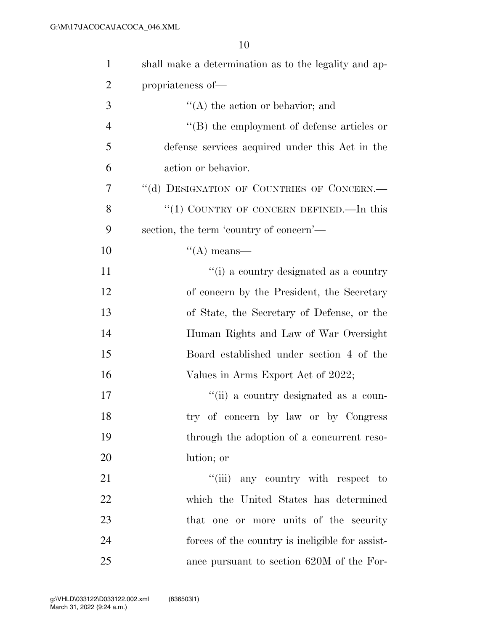| $\mathbf{1}$   | shall make a determination as to the legality and ap- |
|----------------|-------------------------------------------------------|
| $\overline{2}$ | propriateness of-                                     |
| 3              | $\lq\lq$ the action or behavior; and                  |
| $\overline{4}$ | $\lq\lq$ the employment of defense articles or        |
| 5              | defense services acquired under this Act in the       |
| 6              | action or behavior.                                   |
| 7              | "(d) DESIGNATION OF COUNTRIES OF CONCERN.-            |
| 8              | " $(1)$ COUNTRY OF CONCERN DEFINED.—In this           |
| 9              | section, the term 'country of concern'—               |
| 10             | $\lq\lq$ means—                                       |
| 11             | "(i) a country designated as a country                |
| 12             | of concern by the President, the Secretary            |
| 13             | of State, the Secretary of Defense, or the            |
| 14             | Human Rights and Law of War Oversight                 |
| 15             | Board established under section 4 of the              |
| 16             | Values in Arms Export Act of 2022;                    |
| 17             | "(ii) a country designated as a coun-                 |
| 18             | try of concern by law or by Congress                  |
| 19             | through the adoption of a concurrent reso-            |
| 20             | lution; or                                            |
| 21             | "(iii) any country with respect to                    |
| 22             | which the United States has determined                |
| 23             | that one or more units of the security                |
| 24             | forces of the country is ineligible for assist-       |
| 25             | ance pursuant to section 620M of the For-             |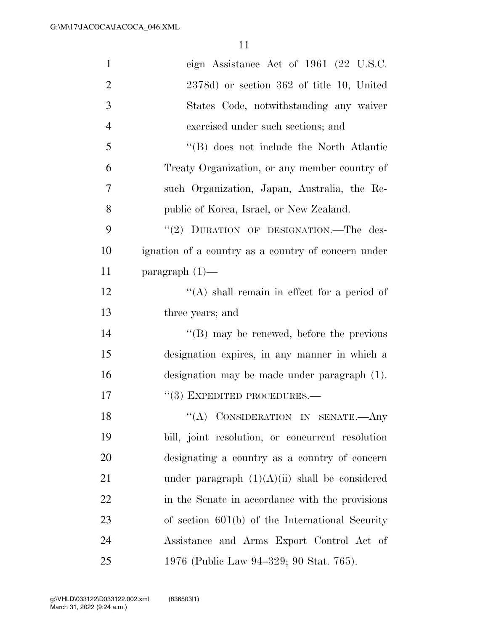| $\mathbf{1}$   | eign Assistance Act of 1961 (22 U.S.C.              |
|----------------|-----------------------------------------------------|
| $\overline{2}$ | 2378d) or section 362 of title 10, United           |
| 3              | States Code, notwithstanding any waiver             |
| $\overline{4}$ | exercised under such sections; and                  |
| 5              | "(B) does not include the North Atlantic            |
| 6              | Treaty Organization, or any member country of       |
| 7              | such Organization, Japan, Australia, the Re-        |
| 8              | public of Korea, Israel, or New Zealand.            |
| 9              | "(2) DURATION OF DESIGNATION.-The des-              |
| 10             | ignation of a country as a country of concern under |
| 11             | paragraph $(1)$ —                                   |
| 12             | "(A) shall remain in effect for a period of         |
| 13             | three years; and                                    |
| 14             | $\lq\lq (B)$ may be renewed, before the previous    |
| 15             | designation expires, in any manner in which a       |
| 16             | designation may be made under paragraph (1).        |
| 17             | $``(3)$ EXPEDITED PROCEDURES.—                      |
| 18             | "(A) CONSIDERATION IN SENATE.- Any                  |
| 19             | bill, joint resolution, or concurrent resolution    |
| 20             | designating a country as a country of concern       |
| 21             | under paragraph $(1)(A)(ii)$ shall be considered    |
| 22             | in the Senate in accordance with the provisions     |
| 23             | of section $601(b)$ of the International Security   |
| 24             | Assistance and Arms Export Control Act of           |
| 25             | 1976 (Public Law 94–329; 90 Stat. 765).             |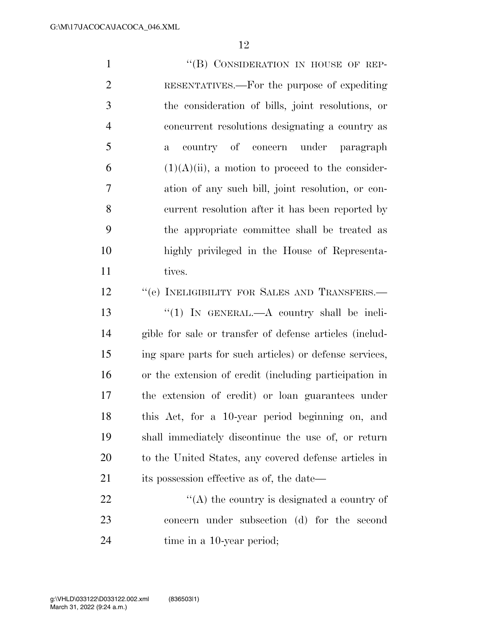| $\mathbf{1}$   | "(B) CONSIDERATION IN HOUSE OF REP-                     |
|----------------|---------------------------------------------------------|
| $\overline{2}$ | RESENTATIVES.—For the purpose of expediting             |
| 3              | the consideration of bills, joint resolutions, or       |
| $\overline{4}$ | concurrent resolutions designating a country as         |
| 5              | country of concern under paragraph<br>$\mathbf{a}$      |
| 6              | $(1)(A)(ii)$ , a motion to proceed to the consider-     |
| 7              | ation of any such bill, joint resolution, or con-       |
| 8              | current resolution after it has been reported by        |
| 9              | the appropriate committee shall be treated as           |
| 10             | highly privileged in the House of Representa-           |
| 11             | tives.                                                  |
| 12             | "(e) INELIGIBILITY FOR SALES AND TRANSFERS.-            |
| 13             | "(1) IN GENERAL.—A country shall be ineli-              |
| 14             | gible for sale or transfer of defense articles (includ- |
| 15             | ing spare parts for such articles) or defense services, |
| 16             | or the extension of credit (including participation in  |
| 17             | the extension of credit) or loan guarantees under       |
| 18             | this Act, for a 10-year period beginning on, and        |
| 19             | shall immediately discontinue the use of, or return     |

 to the United States, any covered defense articles in its possession effective as of, the date—

22  $\langle (A)$  the country is designated a country of concern under subsection (d) for the second time in a 10-year period;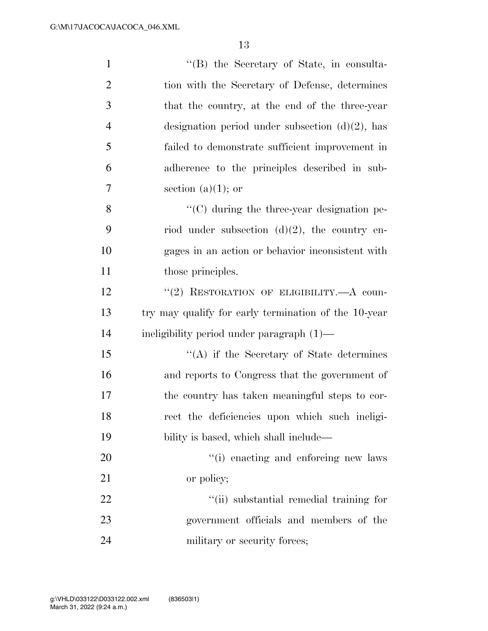| $\mathbf{1}$   | "(B) the Secretary of State, in consulta-            |
|----------------|------------------------------------------------------|
| $\overline{2}$ | tion with the Secretary of Defense, determines       |
| 3              | that the country, at the end of the three-year       |
| $\overline{4}$ | designation period under subsection $(d)(2)$ , has   |
| 5              | failed to demonstrate sufficient improvement in      |
| 6              | adherence to the principles described in sub-        |
| 7              | section (a) $(1)$ ; or                               |
| 8              | $\cdot$ (C) during the three-year designation pe-    |
| 9              | riod under subsection $(d)(2)$ , the country en-     |
| 10             | gages in an action or behavior inconsistent with     |
| 11             | those principles.                                    |
| 12             | "(2) RESTORATION OF ELIGIBILITY.—A coun-             |
| 13             | try may qualify for early termination of the 10-year |
| 14             | ineligibility period under paragraph (1)—            |
| 15             | $\lq\lq$ if the Secretary of State determines        |
| 16             | and reports to Congress that the government of       |
| 17             | the country has taken meaningful steps to cor-       |
| 18             | rect the deficiencies upon which such ineligi-       |
| 19             | bility is based, which shall include—                |
| 20             | "(i) enacting and enforcing new laws                 |
| 21             | or policy;                                           |
| 22             | "(ii) substantial remedial training for              |
| 23             | government officials and members of the              |
| 24             | military or security forces;                         |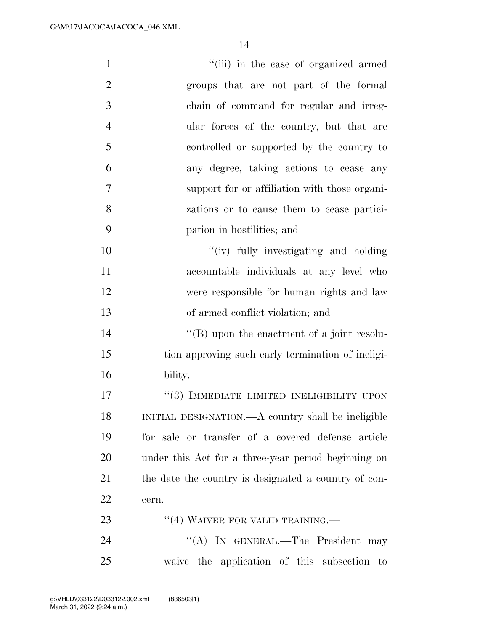| $\mathbf{1}$   | "(iii) in the case of organized armed                 |
|----------------|-------------------------------------------------------|
| $\overline{2}$ | groups that are not part of the formal                |
| 3              | chain of command for regular and irreg-               |
| $\overline{4}$ | ular forces of the country, but that are              |
| 5              | controlled or supported by the country to             |
| 6              | any degree, taking actions to cease any               |
| $\overline{7}$ | support for or affiliation with those organi-         |
| 8              | zations or to cause them to cease partici-            |
| 9              | pation in hostilities; and                            |
| 10             | "(iv) fully investigating and holding                 |
| 11             | accountable individuals at any level who              |
| 12             | were responsible for human rights and law             |
| 13             | of armed conflict violation; and                      |
| 14             | $\lq\lq (B)$ upon the enactment of a joint resolu-    |
| 15             | tion approving such early termination of ineligi-     |
| 16             | bility.                                               |
| 17             | "(3) IMMEDIATE LIMITED INELIGIBILITY UPON             |
| 18             | INITIAL DESIGNATION.—A country shall be ineligible    |
| 19             | for sale or transfer of a covered defense article     |
| 20             | under this Act for a three-year period beginning on   |
| 21             | the date the country is designated a country of con-  |
| 22             | cern.                                                 |
| 23             | $\cdot$ (4) WAIVER FOR VALID TRAINING.—               |
| 24             | "(A) IN GENERAL.—The President may                    |
| 25             | waive the application of this subsection<br>$\rm{to}$ |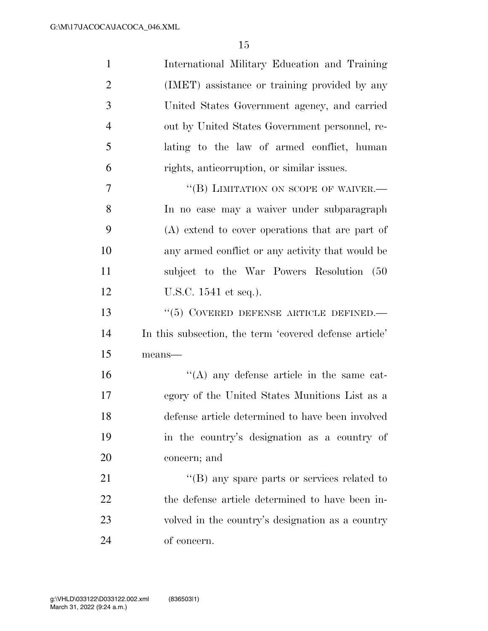| $\mathbf{1}$   | International Military Education and Training          |
|----------------|--------------------------------------------------------|
| $\overline{2}$ | (IMET) assistance or training provided by any          |
| 3              | United States Government agency, and carried           |
| $\overline{4}$ | out by United States Government personnel, re-         |
| 5              | lating to the law of armed conflict, human             |
| 6              | rights, anticorruption, or similar issues.             |
| 7              | "(B) LIMITATION ON SCOPE OF WAIVER.-                   |
| 8              | In no case may a waiver under subparagraph             |
| 9              | (A) extend to cover operations that are part of        |
| 10             | any armed conflict or any activity that would be       |
| 11             | subject to the War Powers Resolution (50               |
| 12             | U.S.C. 1541 et seq.).                                  |
| 13             | $``(5)$ COVERED DEFENSE ARTICLE DEFINED.               |
| 14             | In this subsection, the term 'covered defense article' |
| 15             | $means$ —                                              |
| 16             | $\lq\lq$ any defense article in the same cat-          |
| 17             | egory of the United States Munitions List as a         |
| 18             | defense article determined to have been involved       |
| 19             | in the country's designation as a country of           |
| 20             | concern; and                                           |
| 21             | "(B) any spare parts or services related to            |
| 22             | the defense article determined to have been in-        |
| 23             | volved in the country's designation as a country       |
| 24             | of concern.                                            |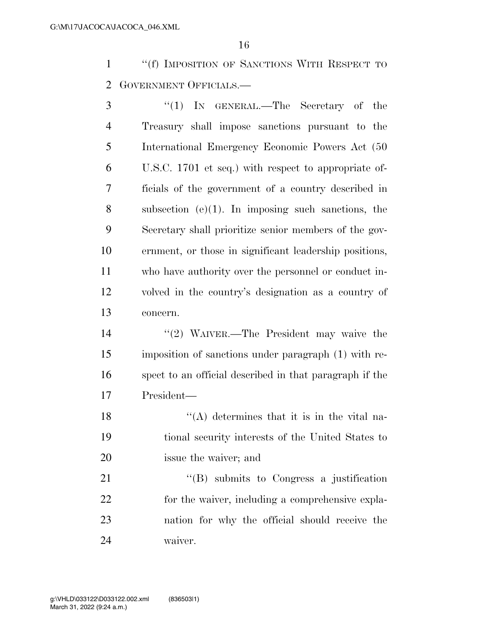''(f) IMPOSITION OF SANCTIONS WITH RESPECT TO GOVERNMENT OFFICIALS.—

 ''(1) IN GENERAL.—The Secretary of the Treasury shall impose sanctions pursuant to the International Emergency Economic Powers Act (50 U.S.C. 1701 et seq.) with respect to appropriate of- ficials of the government of a country described in subsection (e)(1). In imposing such sanctions, the Secretary shall prioritize senior members of the gov- ernment, or those in significant leadership positions, who have authority over the personnel or conduct in- volved in the country's designation as a country of concern.

 ''(2) WAIVER.—The President may waive the imposition of sanctions under paragraph (1) with re- spect to an official described in that paragraph if the President—

18  $\langle (A)$  determines that it is in the vital na- tional security interests of the United States to issue the waiver; and

21 "'(B) submits to Congress a justification 22 for the waiver, including a comprehensive expla- nation for why the official should receive the waiver.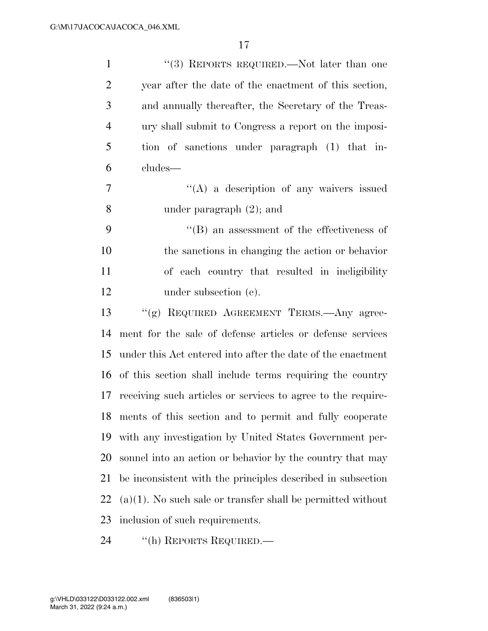| $\mathbf{1}$   | "(3) REPORTS REQUIRED.—Not later than one                      |
|----------------|----------------------------------------------------------------|
| $\overline{2}$ | year after the date of the enactment of this section,          |
| 3              | and annually thereafter, the Secretary of the Treas-           |
| $\overline{4}$ | ury shall submit to Congress a report on the imposi-           |
| 5              | tion of sanctions under paragraph (1) that in-                 |
| 6              | cludes—                                                        |
| 7              | $\lq\lq(A)$ a description of any waivers issued                |
| 8              | under paragraph $(2)$ ; and                                    |
| 9              | $\lq\lq$ an assessment of the effectiveness of                 |
| 10             | the sanctions in changing the action or behavior               |
| 11             | of each country that resulted in ineligibility                 |
| 12             | under subsection (e).                                          |
| 13             | "(g) REQUIRED AGREEMENT TERMS.—Any agree-                      |
| 14             | ment for the sale of defense articles or defense services      |
| 15             | under this Act entered into after the date of the enactment    |
| 16             | of this section shall include terms requiring the country      |
| 17             | receiving such articles or services to agree to the require-   |
|                | 18 ments of this section and to permit and fully cooperate     |
| 19             | with any investigation by United States Government per-        |
| 20             | sonnel into an action or behavior by the country that may      |
| 21             | be inconsistent with the principles described in subsection    |
| 22             | $(a)(1)$ . No such sale or transfer shall be permitted without |
| 23             | inclusion of such requirements.                                |
|                |                                                                |

24 "(h) REPORTS REQUIRED.—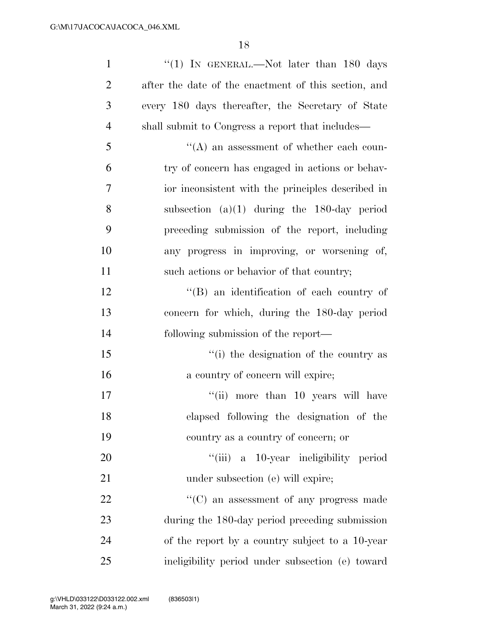| $\mathbf{1}$   | "(1) IN GENERAL.—Not later than 180 days             |
|----------------|------------------------------------------------------|
| $\overline{2}$ | after the date of the enactment of this section, and |
| 3              | every 180 days thereafter, the Secretary of State    |
| $\overline{4}$ | shall submit to Congress a report that includes—     |
| 5              | $\lq\lq$ an assessment of whether each coun-         |
| 6              | try of concern has engaged in actions or behav-      |
| 7              | ior inconsistent with the principles described in    |
| 8              | subsection $(a)(1)$ during the 180-day period        |
| 9              | preceding submission of the report, including        |
| 10             | any progress in improving, or worsening of,          |
| 11             | such actions or behavior of that country;            |
| 12             | $\lq\lq (B)$ an identification of each country of    |
| 13             | concern for which, during the 180-day period         |
| 14             | following submission of the report—                  |
| 15             | "(i) the designation of the country as               |
| 16             | a country of concern will expire;                    |
| 17             | "(ii) more than 10 years will have                   |
| 18             | elapsed following the designation of the             |
| 19             | country as a country of concern; or                  |
| 20             | "(iii) a 10-year ineligibility period                |
| 21             | under subsection (e) will expire;                    |
| 22             | $\lq\lq$ (C) an assessment of any progress made      |
| 23             | during the 180-day period preceding submission       |
| 24             | of the report by a country subject to a 10-year      |
| 25             | ineligibility period under subsection (e) toward     |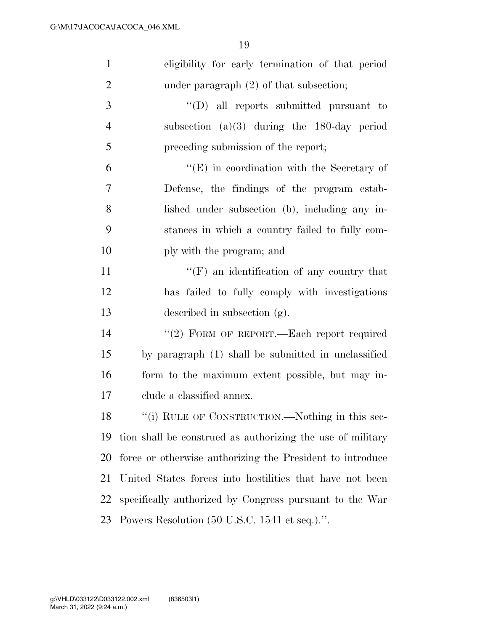| $\mathbf{1}$   | eligibility for early termination of that period           |
|----------------|------------------------------------------------------------|
| $\overline{2}$ | under paragraph $(2)$ of that subsection;                  |
| 3              | $\lq\lq$ (D) all reports submitted pursuant to             |
| $\overline{4}$ | subsection $(a)(3)$ during the 180-day period              |
| 5              | preceding submission of the report;                        |
| 6              | $\lq\lq(E)$ in coordination with the Secretary of          |
| 7              | Defense, the findings of the program estab-                |
| 8              | lished under subsection (b), including any in-             |
| 9              | stances in which a country failed to fully com-            |
| 10             | ply with the program; and                                  |
| 11             | $\lq\lq(F)$ an identification of any country that          |
| 12             | has failed to fully comply with investigations             |
| 13             | described in subsection (g).                               |
| 14             | "(2) FORM OF REPORT.—Each report required                  |
| 15             | by paragraph (1) shall be submitted in unclassified        |
| 16             | form to the maximum extent possible, but may in-           |
| 17             | clude a classified annex.                                  |
| 18             | "(i) RULE OF CONSTRUCTION.—Nothing in this sec-            |
| 19             | tion shall be construed as authorizing the use of military |
| 20             | force or otherwise authorizing the President to introduce  |
| 21             | United States forces into hostilities that have not been   |
| 22             | specifically authorized by Congress pursuant to the War    |
| 23             | Powers Resolution (50 U.S.C. 1541 et seq.).".              |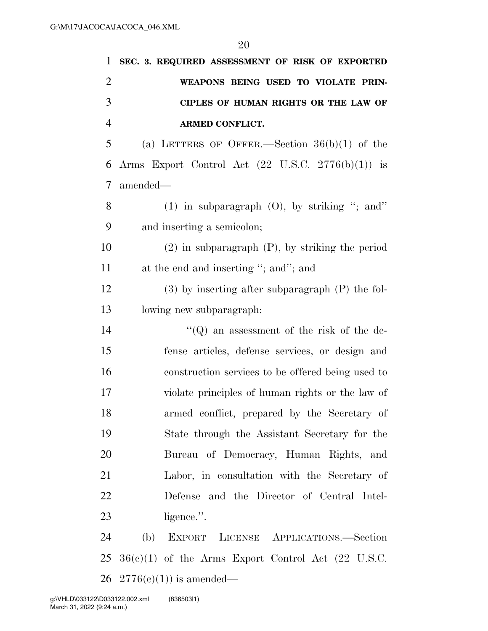| $\mathbf{1}$   | SEC. 3. REQUIRED ASSESSMENT OF RISK OF EXPORTED              |
|----------------|--------------------------------------------------------------|
| $\overline{2}$ | WEAPONS BEING USED TO VIOLATE PRIN-                          |
| 3              | CIPLES OF HUMAN RIGHTS OR THE LAW OF                         |
| $\overline{4}$ | <b>ARMED CONFLICT.</b>                                       |
| 5              | (a) LETTERS OF OFFER.—Section $36(b)(1)$ of the              |
| 6              | Arms Export Control Act $(22 \text{ U.S.C. } 2776(b)(1))$ is |
| 7              | amended—                                                     |
| 8              | (1) in subparagraph $(0)$ , by striking "; and"              |
| 9              | and inserting a semicolon;                                   |
| 10             | $(2)$ in subparagraph $(P)$ , by striking the period         |
| 11             | at the end and inserting "; and"; and                        |
| 12             | $(3)$ by inserting after subparagraph $(P)$ the fol-         |
| 13             | lowing new subparagraph:                                     |
| 14             | $\lq\lq$ an assessment of the risk of the de-                |
| 15             | fense articles, defense services, or design and              |
| 16             | construction services to be offered being used to            |
| 17             | violate principles of human rights or the law of             |
| 18             | armed conflict, prepared by the Secretary of                 |
| 19             | State through the Assistant Secretary for the                |
| 20             | Bureau of Democracy, Human Rights, and                       |
| 21             | Labor, in consultation with the Secretary of                 |
| 22             | Defense and the Director of Central Intel-                   |
| 23             | ligence.".                                                   |
| 24             | EXPORT LICENSE APPLICATIONS.-Section<br>(b)                  |
| 25             | $36(e)(1)$ of the Arms Export Control Act (22 U.S.C.         |
| 26             | $2776(c)(1)$ is amended—                                     |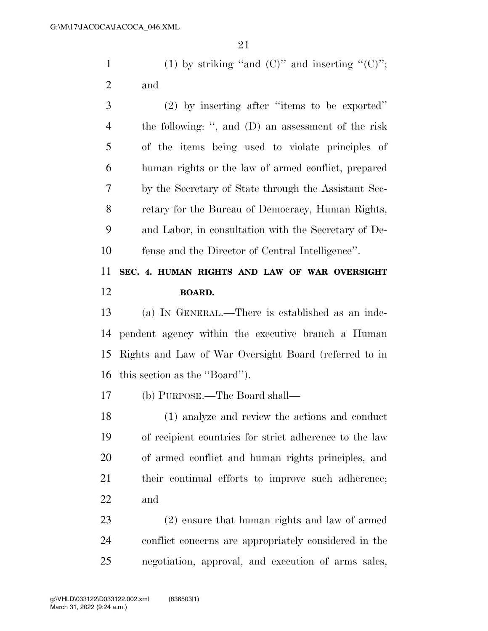1 (1) by striking "and  $(C)$ " and inserting " $(C)$ "; and

 (2) by inserting after ''items to be exported'' the following: '', and (D) an assessment of the risk of the items being used to violate principles of human rights or the law of armed conflict, prepared by the Secretary of State through the Assistant Sec- retary for the Bureau of Democracy, Human Rights, and Labor, in consultation with the Secretary of De-fense and the Director of Central Intelligence''.

### **SEC. 4. HUMAN RIGHTS AND LAW OF WAR OVERSIGHT BOARD.**

 (a) IN GENERAL.—There is established as an inde- pendent agency within the executive branch a Human Rights and Law of War Oversight Board (referred to in this section as the ''Board'').

(b) PURPOSE.—The Board shall—

 (1) analyze and review the actions and conduct of recipient countries for strict adherence to the law of armed conflict and human rights principles, and their continual efforts to improve such adherence; and

 (2) ensure that human rights and law of armed conflict concerns are appropriately considered in the negotiation, approval, and execution of arms sales,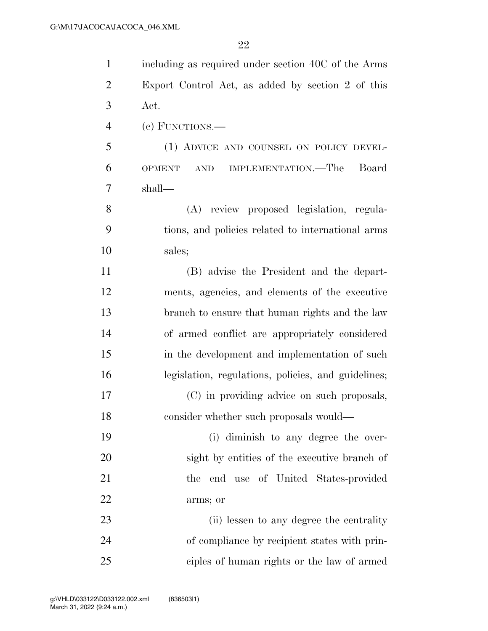| $\mathbf{1}$   | including as required under section 40C of the Arms                   |
|----------------|-----------------------------------------------------------------------|
| $\overline{2}$ | Export Control Act, as added by section 2 of this                     |
| 3              | Act.                                                                  |
| $\overline{4}$ | $(e)$ FUNCTIONS.—                                                     |
| 5              | (1) ADVICE AND COUNSEL ON POLICY DEVEL-                               |
| 6              | IMPLEMENTATION.—The<br>Board<br><b>OPMENT</b><br>$\operatorname{AND}$ |
| 7              | shall—                                                                |
| 8              | (A) review proposed legislation, regula-                              |
| 9              | tions, and policies related to international arms                     |
| 10             | sales;                                                                |
| 11             | (B) advise the President and the depart-                              |
| 12             | ments, agencies, and elements of the executive                        |
| 13             | branch to ensure that human rights and the law                        |
| 14             | of armed conflict are appropriately considered                        |
| 15             | in the development and implementation of such                         |
| 16             | legislation, regulations, policies, and guidelines;                   |
| 17             | (C) in providing advice on such proposals,                            |
| 18             | consider whether such proposals would—                                |
| 19             | (i) diminish to any degree the over-                                  |
| 20             | sight by entities of the executive branch of                          |
| 21             | the end use of United States-provided                                 |
| 22             | arms; or                                                              |
| 23             | (ii) lessen to any degree the centrality                              |
| 24             | of compliance by recipient states with prin-                          |
| 25             | ciples of human rights or the law of armed                            |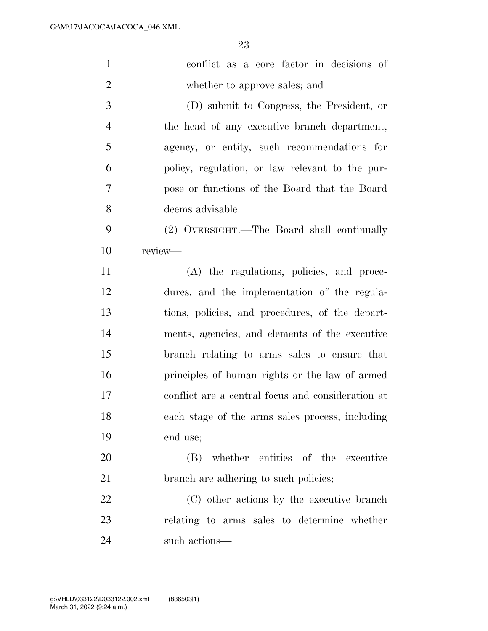| $\mathbf{1}$   | conflict as a core factor in decisions of         |
|----------------|---------------------------------------------------|
| $\overline{2}$ | whether to approve sales; and                     |
| 3              | (D) submit to Congress, the President, or         |
| $\overline{4}$ | the head of any executive branch department,      |
| 5              | agency, or entity, such recommendations for       |
| 6              | policy, regulation, or law relevant to the pur-   |
| 7              | pose or functions of the Board that the Board     |
| 8              | deems advisable.                                  |
| 9              | (2) OVERSIGHT.—The Board shall continually        |
| 10             | review-                                           |
| 11             | (A) the regulations, policies, and proce-         |
| 12             | dures, and the implementation of the regula-      |
| 13             | tions, policies, and procedures, of the depart-   |
| 14             | ments, agencies, and elements of the executive    |
| 15             | branch relating to arms sales to ensure that      |
| 16             | principles of human rights or the law of armed    |
| 17             | conflict are a central focus and consideration at |
| 18             | each stage of the arms sales process, including   |
| 19             | end use;                                          |
| <b>20</b>      | (B) whether entities of the executive             |
| 21             | branch are adhering to such policies;             |
| 22             | (C) other actions by the executive branch         |
| 23             | relating to arms sales to determine whether       |
| 24             | such actions—                                     |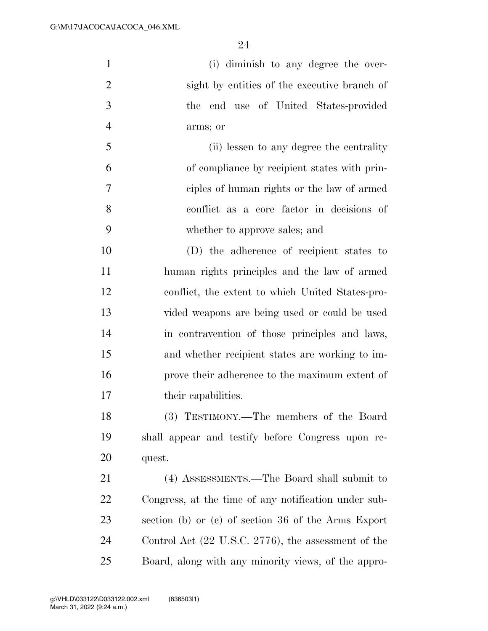| $\mathbf{1}$   | (i) diminish to any degree the over-                 |
|----------------|------------------------------------------------------|
| $\overline{2}$ | sight by entities of the executive branch of         |
| 3              | the end use of United States-provided                |
| $\overline{4}$ | arms; or                                             |
| 5              | (ii) lessen to any degree the centrality             |
| 6              | of compliance by recipient states with prin-         |
| 7              | ciples of human rights or the law of armed           |
| 8              | conflict as a core factor in decisions of            |
| 9              | whether to approve sales; and                        |
| 10             | (D) the adherence of recipient states to             |
| 11             | human rights principles and the law of armed         |
| 12             | conflict, the extent to which United States-pro-     |
| 13             | vided weapons are being used or could be used        |
| 14             | in contravention of those principles and laws,       |
| 15             | and whether recipient states are working to im-      |
| 16             | prove their adherence to the maximum extent of       |
| 17             | their capabilities.                                  |
| 18             | (3) TESTIMONY.—The members of the Board              |
| 19             | shall appear and testify before Congress upon re-    |
| 20             | quest.                                               |
| 21             | (4) ASSESSMENTS.—The Board shall submit to           |
| 22             | Congress, at the time of any notification under sub- |
| 23             | section (b) or (c) of section 36 of the Arms Export  |
| 24             | Control Act (22 U.S.C. 2776), the assessment of the  |

Board, along with any minority views, of the appro-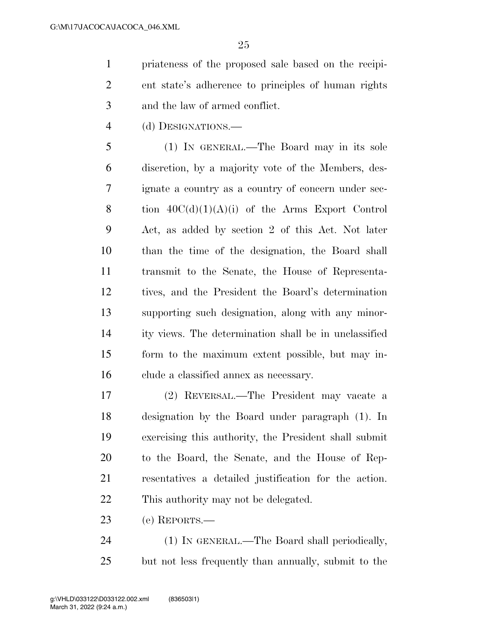priateness of the proposed sale based on the recipi- ent state's adherence to principles of human rights and the law of armed conflict.

(d) DESIGNATIONS.—

 (1) IN GENERAL.—The Board may in its sole discretion, by a majority vote of the Members, des- ignate a country as a country of concern under sec-8 tion  $40C(d)(1)(A)(i)$  of the Arms Export Control Act, as added by section 2 of this Act. Not later than the time of the designation, the Board shall transmit to the Senate, the House of Representa- tives, and the President the Board's determination supporting such designation, along with any minor- ity views. The determination shall be in unclassified form to the maximum extent possible, but may in-clude a classified annex as necessary.

 (2) REVERSAL.—The President may vacate a designation by the Board under paragraph (1). In exercising this authority, the President shall submit to the Board, the Senate, and the House of Rep- resentatives a detailed justification for the action. This authority may not be delegated.

(e) REPORTS.—

 (1) IN GENERAL.—The Board shall periodically, but not less frequently than annually, submit to the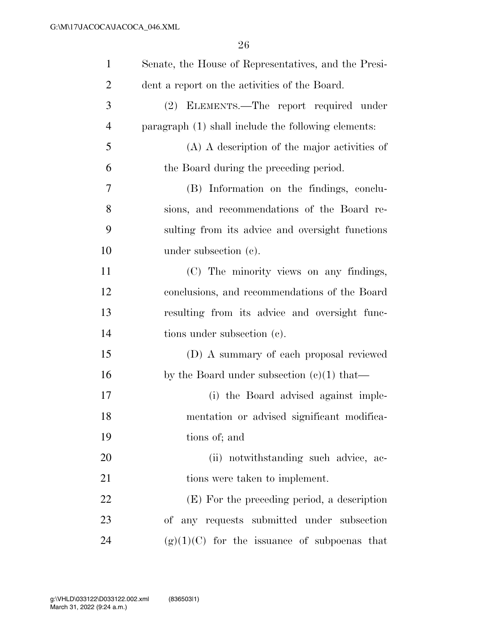| $\mathbf{1}$   | Senate, the House of Representatives, and the Presi- |
|----------------|------------------------------------------------------|
| $\overline{2}$ | dent a report on the activities of the Board.        |
| 3              | (2) ELEMENTS.—The report required under              |
| $\overline{4}$ | paragraph (1) shall include the following elements:  |
| 5              | (A) A description of the major activities of         |
| 6              | the Board during the preceding period.               |
| 7              | (B) Information on the findings, conclu-             |
| 8              | sions, and recommendations of the Board re-          |
| 9              | sulting from its advice and oversight functions      |
| 10             | under subsection $(c)$ .                             |
| 11             | (C) The minority views on any findings,              |
| 12             | conclusions, and recommendations of the Board        |
| 13             | resulting from its advice and oversight func-        |
| 14             | tions under subsection (c).                          |
| 15             | (D) A summary of each proposal reviewed              |
| 16             | by the Board under subsection $(c)(1)$ that—         |
| 17             | (i) the Board advised against imple-                 |
| 18             | mentation or advised significant modifica-           |
| 19             | tions of; and                                        |
| 20             | (ii) notwithstanding such advice, ac-                |
| 21             | tions were taken to implement.                       |
| 22             | (E) For the preceding period, a description          |
| 23             | of any requests submitted under subsection           |
| 24             | $(g)(1)(C)$ for the issuance of subpoenas that       |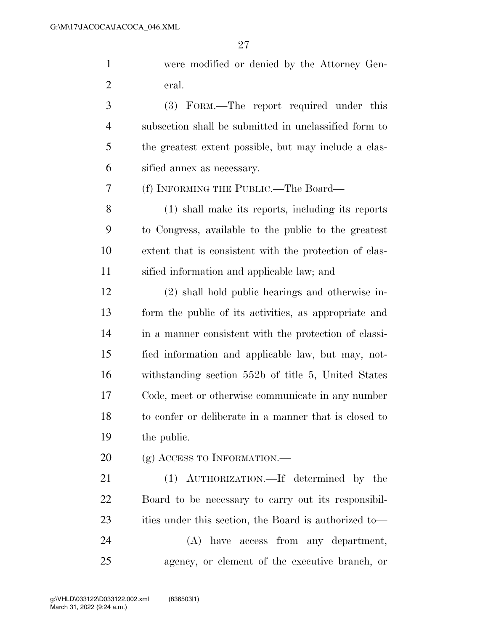were modified or denied by the Attorney Gen-eral.

 (3) FORM.—The report required under this subsection shall be submitted in unclassified form to the greatest extent possible, but may include a clas-sified annex as necessary.

(f) INFORMING THE PUBLIC.—The Board—

 (1) shall make its reports, including its reports to Congress, available to the public to the greatest extent that is consistent with the protection of clas-sified information and applicable law; and

 (2) shall hold public hearings and otherwise in- form the public of its activities, as appropriate and in a manner consistent with the protection of classi- fied information and applicable law, but may, not- withstanding section 552b of title 5, United States Code, meet or otherwise communicate in any number to confer or deliberate in a manner that is closed to the public.

20 (g) ACCESS TO INFORMATION.—

 (1) AUTHORIZATION.—If determined by the Board to be necessary to carry out its responsibil-23 ities under this section, the Board is authorized to— (A) have access from any department,

agency, or element of the executive branch, or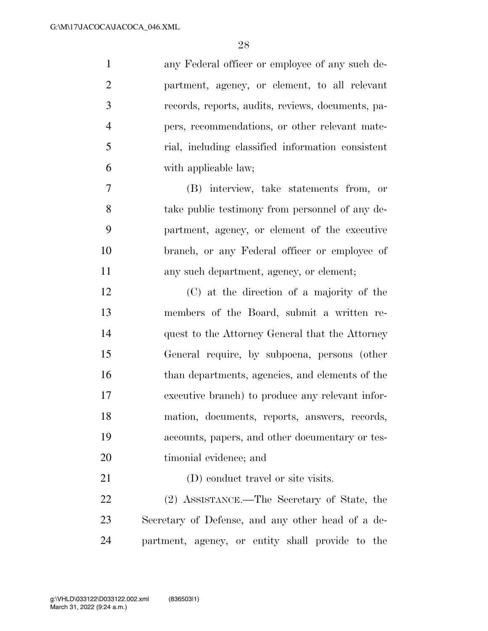| $\mathbf{1}$   | any Federal officer or employee of any such de-   |
|----------------|---------------------------------------------------|
| $\overline{2}$ | partment, agency, or element, to all relevant     |
| 3              | records, reports, audits, reviews, documents, pa- |
| $\overline{4}$ | pers, recommendations, or other relevant mate-    |
| 5              | rial, including classified information consistent |
| 6              | with applicable law;                              |
| 7              | (B) interview, take statements from, or           |
| 8              | take public testimony from personnel of any de-   |
| 9              | partment, agency, or element of the executive     |
| 10             | branch, or any Federal officer or employee of     |
| 11             | any such department, agency, or element;          |
| 12             | (C) at the direction of a majority of the         |
| 13             | members of the Board, submit a written re-        |
| 14             | quest to the Attorney General that the Attorney   |
| 15             | General require, by subpoena, persons (other      |
| 16             | than departments, agencies, and elements of the   |
| 17             | executive branch) to produce any relevant infor-  |
| 18             | mation, documents, reports, answers, records,     |
| 19             | accounts, papers, and other documentary or tes-   |
| 20             | timonial evidence; and                            |
| 21             | (D) conduct travel or site visits.                |
| 22             | (2) ASSISTANCE.—The Secretary of State, the       |
| 23             | Secretary of Defense, and any other head of a de- |
| 24             | partment, agency, or entity shall provide to the  |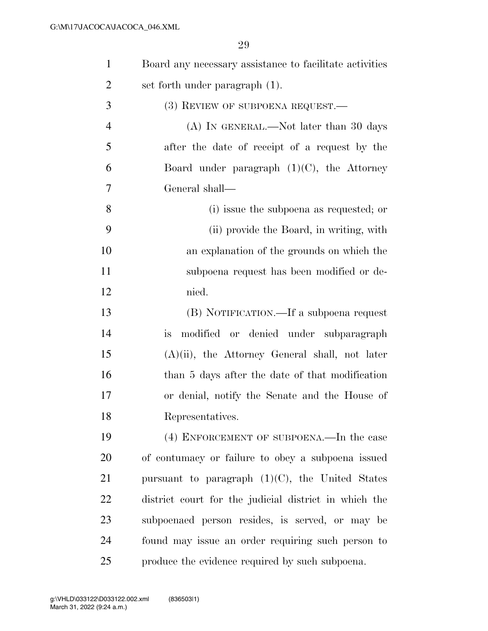| $\mathbf{1}$   | Board any necessary assistance to facilitate activities |
|----------------|---------------------------------------------------------|
| $\overline{2}$ | set forth under paragraph (1).                          |
| 3              | $(3)$ REVIEW OF SUBPOENA REQUEST.—                      |
| $\overline{4}$ | (A) IN GENERAL.—Not later than 30 days                  |
| 5              | after the date of receipt of a request by the           |
| 6              | Board under paragraph $(1)(C)$ , the Attorney           |
| $\overline{7}$ | General shall-                                          |
| 8              | (i) issue the subpoena as requested; or                 |
| 9              | (ii) provide the Board, in writing, with                |
| 10             | an explanation of the grounds on which the              |
| 11             | subpoena request has been modified or de-               |
| 12             | nied.                                                   |
| 13             | (B) NOTIFICATION.—If a subpoena request                 |
| 14             | modified or denied under subparagraph<br>is             |
| 15             | $(A)(ii)$ , the Attorney General shall, not later       |
| 16             | than 5 days after the date of that modification         |
| 17             | or denial, notify the Senate and the House of           |
| 18             | Representatives.                                        |
| 19             | (4) ENFORCEMENT OF SUBPOENA.—In the case                |
| 20             | of contumacy or failure to obey a subpoena issued       |
| 21             | pursuant to paragraph $(1)(C)$ , the United States      |
| 22             | district court for the judicial district in which the   |
| 23             | subpoenaed person resides, is served, or may be         |
| 24             | found may issue an order requiring such person to       |
| 25             | produce the evidence required by such subpoena.         |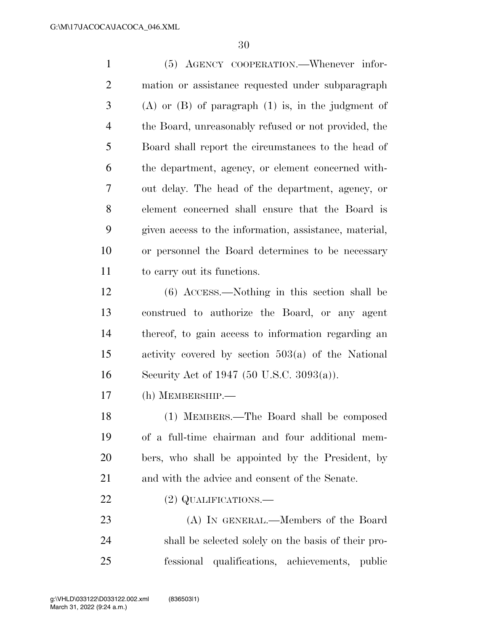(5) AGENCY COOPERATION.—Whenever infor- mation or assistance requested under subparagraph (A) or (B) of paragraph (1) is, in the judgment of the Board, unreasonably refused or not provided, the Board shall report the circumstances to the head of the department, agency, or element concerned with- out delay. The head of the department, agency, or element concerned shall ensure that the Board is given access to the information, assistance, material, or personnel the Board determines to be necessary to carry out its functions. (6) ACCESS.—Nothing in this section shall be construed to authorize the Board, or any agent thereof, to gain access to information regarding an activity covered by section 503(a) of the National Security Act of 1947 (50 U.S.C. 3093(a)). (h) MEMBERSHIP.— (1) MEMBERS.—The Board shall be composed of a full-time chairman and four additional mem- bers, who shall be appointed by the President, by and with the advice and consent of the Senate. 22 (2) QUALIFICATIONS.— (A) IN GENERAL.—Members of the Board shall be selected solely on the basis of their pro-

fessional qualifications, achievements, public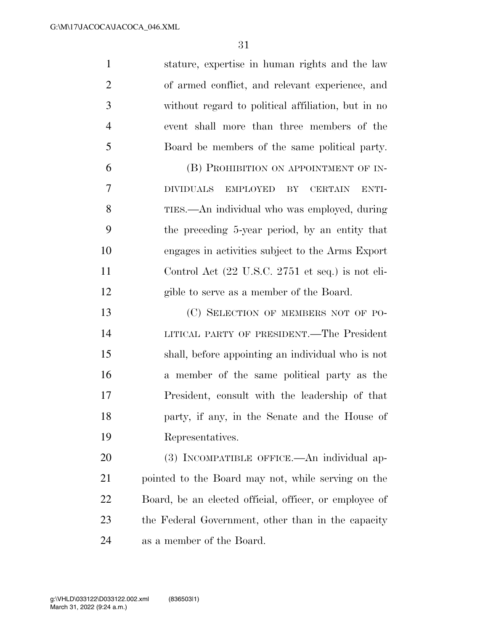stature, expertise in human rights and the law of armed conflict, and relevant experience, and without regard to political affiliation, but in no event shall more than three members of the Board be members of the same political party. (B) PROHIBITION ON APPOINTMENT OF IN- DIVIDUALS EMPLOYED BY CERTAIN ENTI- TIES.—An individual who was employed, during the preceding 5-year period, by an entity that engages in activities subject to the Arms Export Control Act (22 U.S.C. 2751 et seq.) is not eli- gible to serve as a member of the Board. 13 (C) SELECTION OF MEMBERS NOT OF PO- LITICAL PARTY OF PRESIDENT.—The President shall, before appointing an individual who is not a member of the same political party as the President, consult with the leadership of that party, if any, in the Senate and the House of Representatives. (3) INCOMPATIBLE OFFICE.—An individual ap-

 pointed to the Board may not, while serving on the Board, be an elected official, officer, or employee of the Federal Government, other than in the capacity as a member of the Board.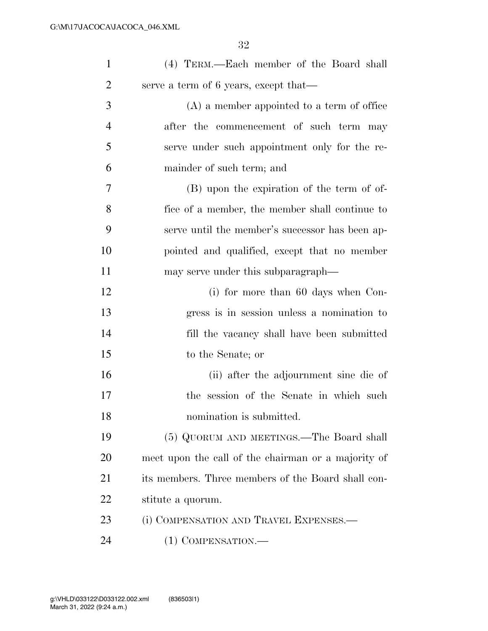| $\mathbf{1}$   | (4) TERM.—Each member of the Board shall            |
|----------------|-----------------------------------------------------|
| $\overline{2}$ | serve a term of 6 years, except that—               |
| 3              | $(A)$ a member appointed to a term of office        |
| $\overline{4}$ | after the commencement of such term may             |
| 5              | serve under such appointment only for the re-       |
| 6              | mainder of such term; and                           |
| 7              | (B) upon the expiration of the term of of-          |
| 8              | fice of a member, the member shall continue to      |
| 9              | serve until the member's successor has been ap-     |
| 10             | pointed and qualified, except that no member        |
| 11             | may serve under this subparagraph—                  |
| 12             | $(i)$ for more than 60 days when Con-               |
| 13             | gress is in session unless a nomination to          |
| 14             | fill the vacancy shall have been submitted          |
| 15             | to the Senate; or                                   |
| 16             | (ii) after the adjournment sine die of              |
| 17             | session of the Senate in which such<br>the          |
| 18             | nomination is submitted.                            |
| 19             | (5) QUORUM AND MEETINGS.—The Board shall            |
| 20             | meet upon the call of the chairman or a majority of |
| 21             | its members. Three members of the Board shall con-  |
| 22             | stitute a quorum.                                   |
| 23             | (i) COMPENSATION AND TRAVEL EXPENSES.—              |
| 24             | $(1)$ COMPENSATION.—                                |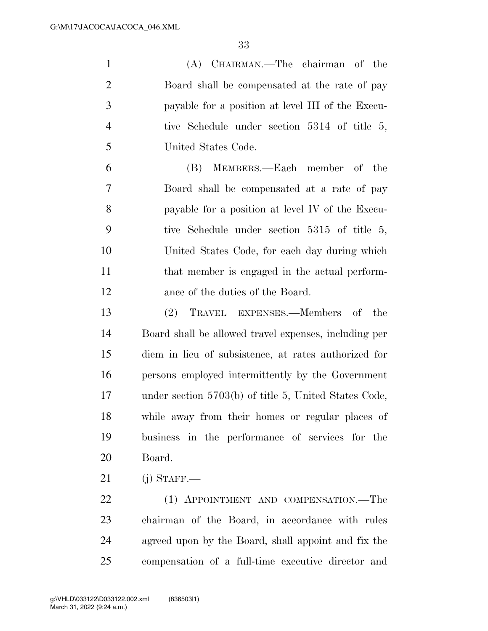(A) CHAIRMAN.—The chairman of the Board shall be compensated at the rate of pay payable for a position at level III of the Execu- tive Schedule under section 5314 of title 5, United States Code. (B) MEMBERS.—Each member of the Board shall be compensated at a rate of pay payable for a position at level IV of the Execu- tive Schedule under section 5315 of title 5, United States Code, for each day during which 11 that member is engaged in the actual perform- ance of the duties of the Board. (2) TRAVEL EXPENSES.—Members of the Board shall be allowed travel expenses, including per diem in lieu of subsistence, at rates authorized for persons employed intermittently by the Government under section 5703(b) of title 5, United States Code, while away from their homes or regular places of business in the performance of services for the Board. (j) STAFF.— 22 (1) APPOINTMENT AND COMPENSATION.—The chairman of the Board, in accordance with rules

 agreed upon by the Board, shall appoint and fix the compensation of a full-time executive director and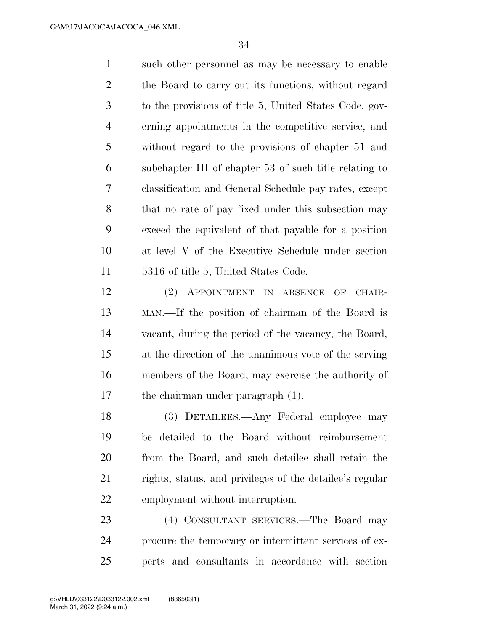such other personnel as may be necessary to enable the Board to carry out its functions, without regard to the provisions of title 5, United States Code, gov- erning appointments in the competitive service, and without regard to the provisions of chapter 51 and subchapter III of chapter 53 of such title relating to classification and General Schedule pay rates, except that no rate of pay fixed under this subsection may exceed the equivalent of that payable for a position at level V of the Executive Schedule under section 5316 of title 5, United States Code.

 (2) APPOINTMENT IN ABSENCE OF CHAIR- MAN.—If the position of chairman of the Board is vacant, during the period of the vacancy, the Board, at the direction of the unanimous vote of the serving members of the Board, may exercise the authority of the chairman under paragraph (1).

 (3) DETAILEES.—Any Federal employee may be detailed to the Board without reimbursement from the Board, and such detailee shall retain the rights, status, and privileges of the detailee's regular employment without interruption.

 (4) CONSULTANT SERVICES.—The Board may procure the temporary or intermittent services of ex-perts and consultants in accordance with section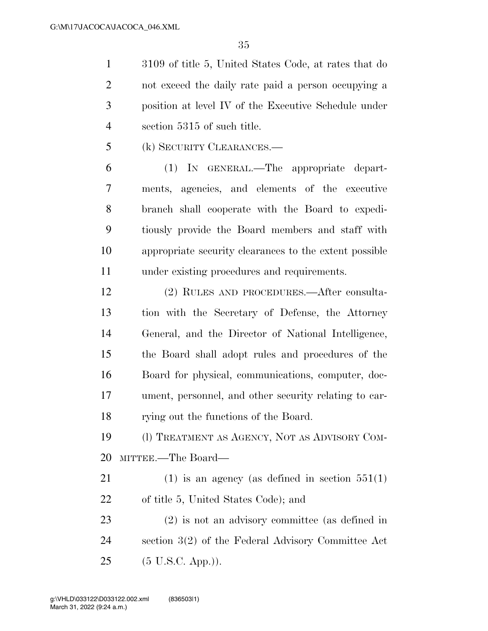3109 of title 5, United States Code, at rates that do not exceed the daily rate paid a person occupying a position at level IV of the Executive Schedule under section 5315 of such title.

(k) SECURITY CLEARANCES.—

 (1) IN GENERAL.—The appropriate depart- ments, agencies, and elements of the executive branch shall cooperate with the Board to expedi- tiously provide the Board members and staff with appropriate security clearances to the extent possible under existing procedures and requirements.

 (2) RULES AND PROCEDURES.—After consulta- tion with the Secretary of Defense, the Attorney General, and the Director of National Intelligence, the Board shall adopt rules and procedures of the Board for physical, communications, computer, doc- ument, personnel, and other security relating to car-rying out the functions of the Board.

 (l) TREATMENT AS AGENCY, NOT AS ADVISORY COM-MITTEE.—The Board—

21 (1) is an agency (as defined in section  $551(1)$ of title 5, United States Code); and

 (2) is not an advisory committee (as defined in section 3(2) of the Federal Advisory Committee Act (5 U.S.C. App.)).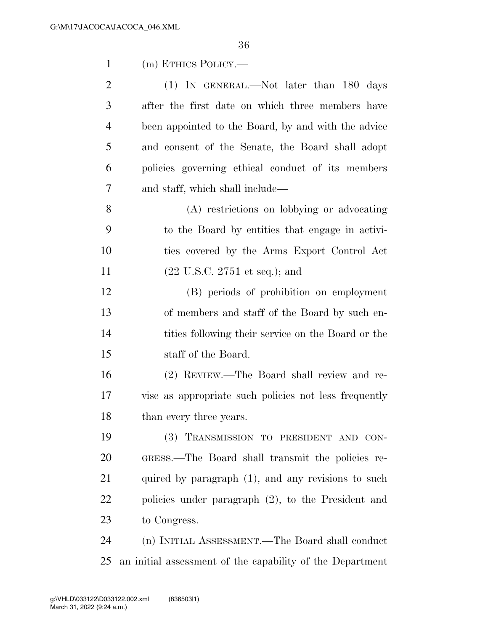| $\mathbf{1}$   | (m) ETHICS POLICY.—                                       |
|----------------|-----------------------------------------------------------|
| $\overline{2}$ | (1) IN GENERAL.—Not later than 180 days                   |
| 3              | after the first date on which three members have          |
| $\overline{4}$ | been appointed to the Board, by and with the advice       |
| 5              | and consent of the Senate, the Board shall adopt          |
| 6              | policies governing ethical conduct of its members         |
| 7              | and staff, which shall include—                           |
| 8              | (A) restrictions on lobbying or advocating                |
| 9              | to the Board by entities that engage in activi-           |
| 10             | ties covered by the Arms Export Control Act               |
| 11             | $(22 \text{ U.S.C. } 2751 \text{ et seq.});$ and          |
| 12             | (B) periods of prohibition on employment                  |
| 13             | of members and staff of the Board by such en-             |
| 14             | tities following their service on the Board or the        |
| 15             | staff of the Board.                                       |
| 16             | (2) REVIEW.—The Board shall review and re-                |
| 17             | vise as appropriate such policies not less frequently     |
| 18             | than every three years.                                   |
| 19             | (3) TRANSMISSION TO PRESIDENT AND CON-                    |
| 20             | GRESS.—The Board shall transmit the policies re-          |
| 21             | quired by paragraph (1), and any revisions to such        |
| 22             | policies under paragraph (2), to the President and        |
| 23             | to Congress.                                              |
| 24             | (n) INITIAL ASSESSMENT.—The Board shall conduct           |
| 25             | an initial assessment of the capability of the Department |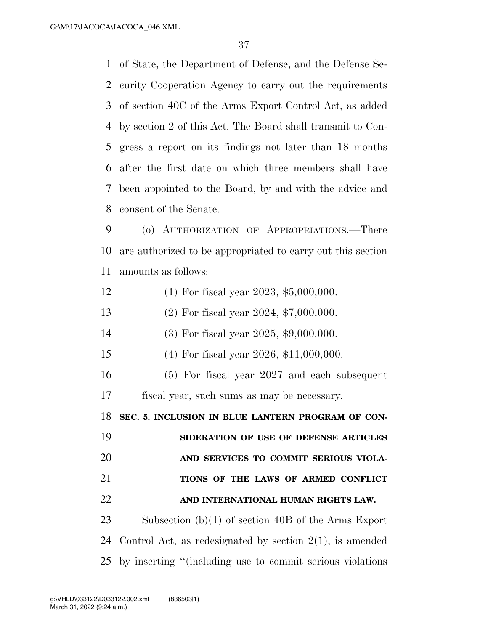of State, the Department of Defense, and the Defense Se- curity Cooperation Agency to carry out the requirements of section 40C of the Arms Export Control Act, as added by section 2 of this Act. The Board shall transmit to Con- gress a report on its findings not later than 18 months after the first date on which three members shall have been appointed to the Board, by and with the advice and consent of the Senate.

 (o) AUTHORIZATION OF APPROPRIATIONS.—There are authorized to be appropriated to carry out this section amounts as follows:

- (1) For fiscal year 2023, \$5,000,000.
- (2) For fiscal year 2024, \$7,000,000.
- (3) For fiscal year 2025, \$9,000,000.
- (4) For fiscal year 2026, \$11,000,000.
- (5) For fiscal year 2027 and each subsequent fiscal year, such sums as may be necessary.

**SEC. 5. INCLUSION IN BLUE LANTERN PROGRAM OF CON-**

 **SIDERATION OF USE OF DEFENSE ARTICLES AND SERVICES TO COMMIT SERIOUS VIOLA- TIONS OF THE LAWS OF ARMED CONFLICT AND INTERNATIONAL HUMAN RIGHTS LAW.** 

 Subsection (b)(1) of section 40B of the Arms Export Control Act, as redesignated by section 2(1), is amended by inserting ''(including use to commit serious violations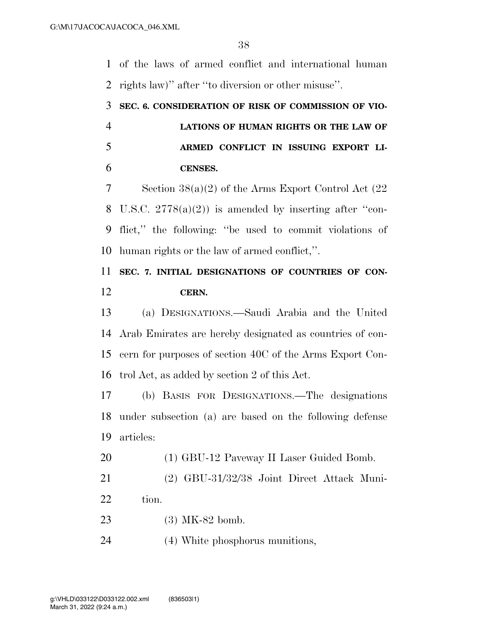of the laws of armed conflict and international human rights law)'' after ''to diversion or other misuse''.

## **SEC. 6. CONSIDERATION OF RISK OF COMMISSION OF VIO- LATIONS OF HUMAN RIGHTS OR THE LAW OF ARMED CONFLICT IN ISSUING EXPORT LI-CENSES.**

 Section 38(a)(2) of the Arms Export Control Act (22 8 U.S.C.  $2778(a)(2)$  is amended by inserting after "con- flict,'' the following: ''be used to commit violations of human rights or the law of armed conflict,''.

## **SEC. 7. INITIAL DESIGNATIONS OF COUNTRIES OF CON-CERN.**

 (a) DESIGNATIONS.—Saudi Arabia and the United Arab Emirates are hereby designated as countries of con- cern for purposes of section 40C of the Arms Export Con-trol Act, as added by section 2 of this Act.

 (b) BASIS FOR DESIGNATIONS.—The designations under subsection (a) are based on the following defense articles:

20 (1) GBU-12 Paveway II Laser Guided Bomb.

 (2) GBU-31/32/38 Joint Direct Attack Muni-22 tion.

(3) MK-82 bomb.

(4) White phosphorus munitions,